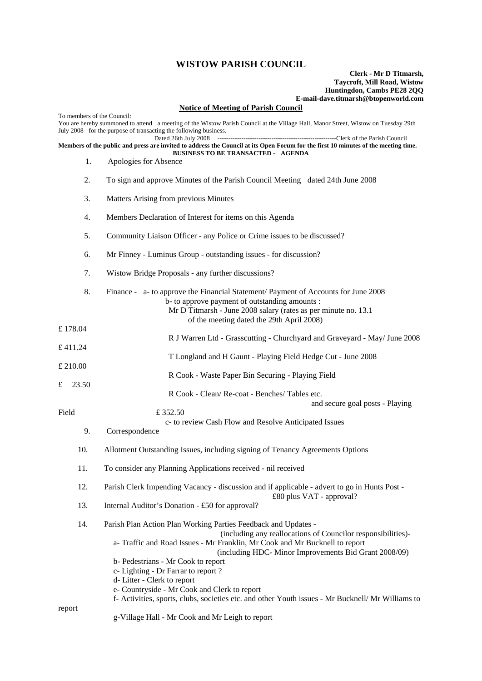## **WISTOW PARISH COUNCIL**

## **Clerk - Mr D Titmarsh, Taycroft, Mill Road, Wistow Huntingdon, Cambs PE28 2QQ E-mail-dave.titmarsh@btopenworld.com**

## **Notice of Meeting of Parish Council**

| <u>Notice of Meeting of 1 after Council</u><br>To members of the Council:                                                                                                                                                      |     |                                                                                                                                                                                                                                                      |
|--------------------------------------------------------------------------------------------------------------------------------------------------------------------------------------------------------------------------------|-----|------------------------------------------------------------------------------------------------------------------------------------------------------------------------------------------------------------------------------------------------------|
| You are hereby summoned to attend a meeting of the Wistow Parish Council at the Village Hall, Manor Street, Wistow on Tuesday 29th<br>July 2008 for the purpose of transacting the following business.<br>Dated 26th July 2008 |     |                                                                                                                                                                                                                                                      |
| Members of the public and press are invited to address the Council at its Open Forum for the first 10 minutes of the meeting time.<br><b>BUSINESS TO BE TRANSACTED - AGENDA</b>                                                |     |                                                                                                                                                                                                                                                      |
|                                                                                                                                                                                                                                | 1.  | Apologies for Absence                                                                                                                                                                                                                                |
|                                                                                                                                                                                                                                | 2.  | To sign and approve Minutes of the Parish Council Meeting dated 24th June 2008                                                                                                                                                                       |
|                                                                                                                                                                                                                                | 3.  | Matters Arising from previous Minutes                                                                                                                                                                                                                |
|                                                                                                                                                                                                                                | 4.  | Members Declaration of Interest for items on this Agenda                                                                                                                                                                                             |
|                                                                                                                                                                                                                                | 5.  | Community Liaison Officer - any Police or Crime issues to be discussed?                                                                                                                                                                              |
|                                                                                                                                                                                                                                | 6.  | Mr Finney - Luminus Group - outstanding issues - for discussion?                                                                                                                                                                                     |
|                                                                                                                                                                                                                                | 7.  | Wistow Bridge Proposals - any further discussions?                                                                                                                                                                                                   |
|                                                                                                                                                                                                                                | 8.  | Finance - a- to approve the Financial Statement/ Payment of Accounts for June 2008<br>b- to approve payment of outstanding amounts :<br>Mr D Titmarsh - June 2008 salary (rates as per minute no. 13.1)<br>of the meeting dated the 29th April 2008) |
| £178.04                                                                                                                                                                                                                        |     |                                                                                                                                                                                                                                                      |
| £411.24                                                                                                                                                                                                                        |     | R J Warren Ltd - Grasscutting - Churchyard and Graveyard - May/ June 2008                                                                                                                                                                            |
| £ 210.00                                                                                                                                                                                                                       |     | T Longland and H Gaunt - Playing Field Hedge Cut - June 2008                                                                                                                                                                                         |
| 23.50<br>£                                                                                                                                                                                                                     |     | R Cook - Waste Paper Bin Securing - Playing Field                                                                                                                                                                                                    |
|                                                                                                                                                                                                                                |     | R Cook - Clean/Re-coat - Benches/Tables etc.<br>and secure goal posts - Playing                                                                                                                                                                      |
| Field                                                                                                                                                                                                                          |     | £352.50                                                                                                                                                                                                                                              |
|                                                                                                                                                                                                                                | 9.  | c- to review Cash Flow and Resolve Anticipated Issues<br>Correspondence                                                                                                                                                                              |
|                                                                                                                                                                                                                                | 10. | Allotment Outstanding Issues, including signing of Tenancy Agreements Options                                                                                                                                                                        |
|                                                                                                                                                                                                                                | 11. | To consider any Planning Applications received - nil received                                                                                                                                                                                        |
|                                                                                                                                                                                                                                | 12. | Parish Clerk Impending Vacancy - discussion and if applicable - advert to go in Hunts Post -<br>£80 plus VAT - approval?                                                                                                                             |
|                                                                                                                                                                                                                                | 13. | Internal Auditor's Donation - £50 for approval?                                                                                                                                                                                                      |
|                                                                                                                                                                                                                                | 14. | Parish Plan Action Plan Working Parties Feedback and Updates -<br>(including any reallocations of Councilor responsibilities)-                                                                                                                       |
|                                                                                                                                                                                                                                |     | a-Traffic and Road Issues - Mr Franklin, Mr Cook and Mr Bucknell to report<br>(including HDC- Minor Improvements Bid Grant 2008/09)                                                                                                                  |
|                                                                                                                                                                                                                                |     | b- Pedestrians - Mr Cook to report                                                                                                                                                                                                                   |
|                                                                                                                                                                                                                                |     | c- Lighting - Dr Farrar to report?<br>d-Litter - Clerk to report                                                                                                                                                                                     |
|                                                                                                                                                                                                                                |     | e- Countryside - Mr Cook and Clerk to report                                                                                                                                                                                                         |
| report                                                                                                                                                                                                                         |     | f- Activities, sports, clubs, societies etc. and other Youth issues - Mr Bucknell/ Mr Williams to                                                                                                                                                    |
|                                                                                                                                                                                                                                |     | g-Village Hall - Mr Cook and Mr Leigh to report                                                                                                                                                                                                      |